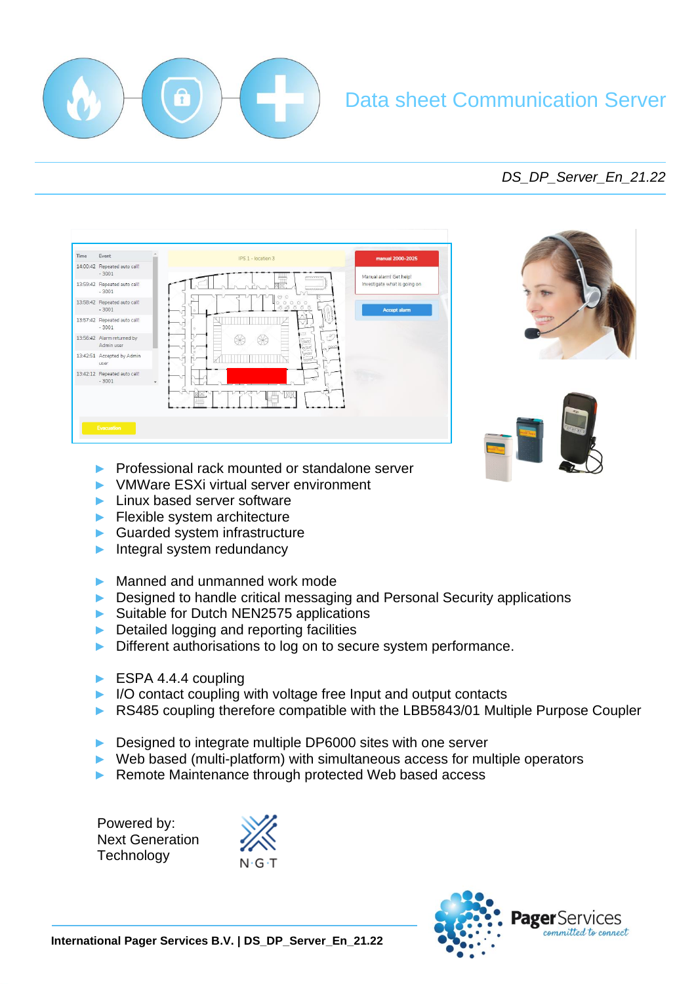

# Data sheet Communication Server

# *DS\_DP\_Server\_En\_21.22*

| 14:00:42 Repeated auto call!<br>$-3001$<br>Manual alarm! Get help!<br>popponen<br><b>MARKAWAY</b><br>$-3001$<br>DZ1<br>$-3001$<br>$\alpha$<br>$-3001$<br>ಲಿ<br>58500<br>Admin user<br>ana<br>T<br>QQ<br>DC.<br>o.<br>Food<br>user<br>$\infty$<br>$-3001$<br>$\star$ | Time | Event      | IPS 1 - location 3 | manual 2000-2025             |
|---------------------------------------------------------------------------------------------------------------------------------------------------------------------------------------------------------------------------------------------------------------------|------|------------|--------------------|------------------------------|
| 13:59:42 Repeated auto call!<br>Accept alarm                                                                                                                                                                                                                        |      |            |                    |                              |
| 13:58:42 Repeated auto call!                                                                                                                                                                                                                                        |      |            |                    | Investigate what is going on |
| 13:57:42 Repeated auto call!                                                                                                                                                                                                                                        |      |            |                    |                              |
| 13:56:42 Alarm returned by<br>13:42:51 Accepted by Admin<br>13:42:12 Repeated auto call!                                                                                                                                                                            |      |            |                    |                              |
|                                                                                                                                                                                                                                                                     |      |            |                    |                              |
|                                                                                                                                                                                                                                                                     |      |            |                    |                              |
|                                                                                                                                                                                                                                                                     |      |            |                    |                              |
|                                                                                                                                                                                                                                                                     |      |            |                    |                              |
|                                                                                                                                                                                                                                                                     |      | Evacuation |                    |                              |





- ► Professional rack mounted or standalone server
- ► VMWare ESXi virtual server environment
- ► Linux based server software
- ► Flexible system architecture
- ► Guarded system infrastructure
- ► Integral system redundancy
- ► Manned and unmanned work mode
- ► Designed to handle critical messaging and Personal Security applications
- ► Suitable for Dutch NEN2575 applications
- ► Detailed logging and reporting facilities
- ► Different authorisations to log on to secure system performance.
- ► ESPA 4.4.4 coupling
- ► I/O contact coupling with voltage free Input and output contacts
- ► RS485 coupling therefore compatible with the LBB5843/01 Multiple Purpose Coupler
- ► Designed to integrate multiple DP6000 sites with one server
- ► Web based (multi-platform) with simultaneous access for multiple operators
- ► Remote Maintenance through protected Web based access

Powered by: Next Generation Technology



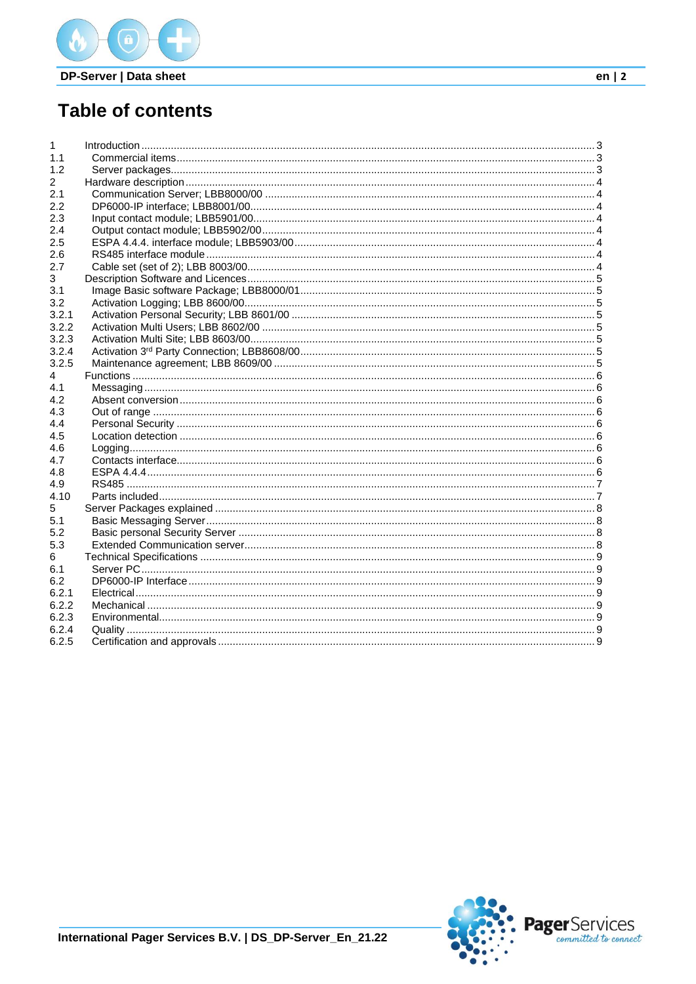

# **Table of contents**

| $\mathbf{1}$ |  |
|--------------|--|
| 1.1          |  |
| 1.2          |  |
| $\mathbf{2}$ |  |
| 2.1          |  |
| 2.2          |  |
| 2.3          |  |
| 2.4          |  |
| 2.5          |  |
| 2.6          |  |
| 2.7          |  |
| 3            |  |
| 3.1          |  |
| 3.2          |  |
| 3.2.1        |  |
| 3.2.2        |  |
| 3.2.3        |  |
| 3.2.4        |  |
| 3.2.5        |  |
| 4            |  |
| 4.1          |  |
| 4.2          |  |
| 4.3          |  |
| 4.4          |  |
| 4.5          |  |
| 4.6          |  |
| 4.7          |  |
| 4.8          |  |
| 4.9          |  |
| 4.10         |  |
| 5            |  |
| 5.1          |  |
| 5.2          |  |
| 5.3          |  |
| 6            |  |
| 6.1          |  |
| 6.2          |  |
| 6.2.1        |  |
| 6.2.2        |  |
| 6.2.3        |  |
| 6.2.4        |  |
| 6.2.5        |  |
|              |  |

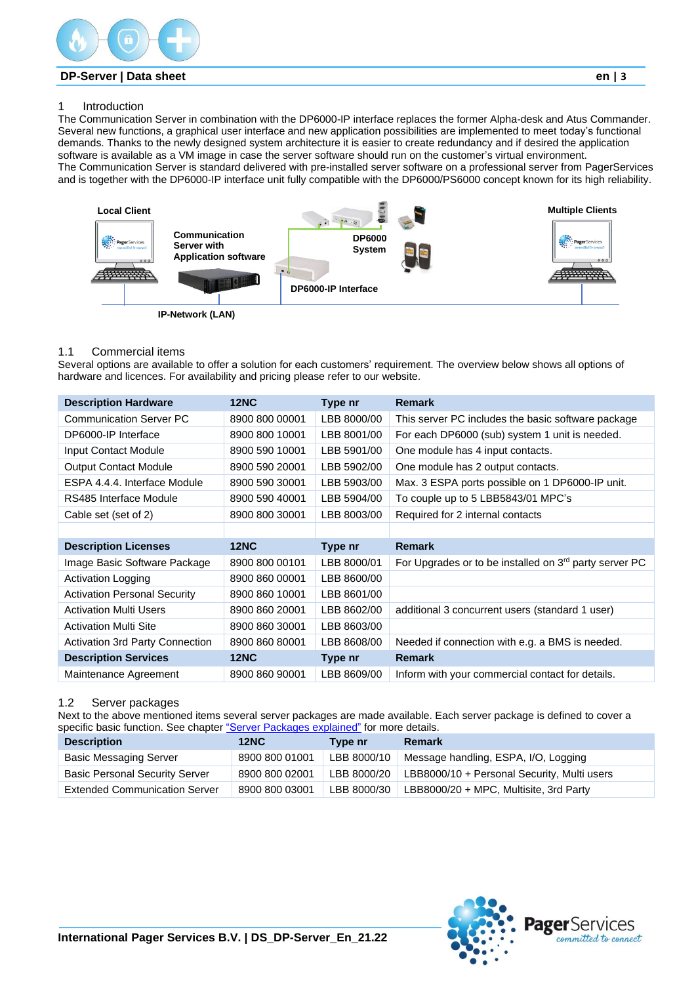

# <span id="page-2-0"></span>1 Introduction

The Communication Server in combination with the DP6000-IP interface replaces the former Alpha-desk and Atus Commander. Several new functions, a graphical user interface and new application possibilities are implemented to meet today's functional demands. Thanks to the newly designed system architecture it is easier to create redundancy and if desired the application software is available as a VM image in case the server software should run on the customer's virtual environment. The Communication Server is standard delivered with pre-installed server software on a professional server from PagerServices and is together with the DP6000-IP interface unit fully compatible with the DP6000/PS6000 concept known for its high reliability.



#### <span id="page-2-1"></span>1.1 Commercial items

Several options are available to offer a solution for each customers' requirement. The overview below shows all options of hardware and licences. For availability and pricing please refer to our website.

| <b>Description Hardware</b>         | <b>12NC</b>    | Type nr     | <b>Remark</b>                                          |
|-------------------------------------|----------------|-------------|--------------------------------------------------------|
| <b>Communication Server PC</b>      | 8900 800 00001 | LBB 8000/00 | This server PC includes the basic software package     |
| DP6000-IP Interface                 | 8900 800 10001 | LBB 8001/00 | For each DP6000 (sub) system 1 unit is needed.         |
| Input Contact Module                | 8900 590 10001 | LBB 5901/00 | One module has 4 input contacts.                       |
| <b>Output Contact Module</b>        | 8900 590 20001 | LBB 5902/00 | One module has 2 output contacts.                      |
| ESPA 4.4.4. Interface Module        | 8900 590 30001 | LBB 5903/00 | Max. 3 ESPA ports possible on 1 DP6000-IP unit.        |
| RS485 Interface Module              | 8900 590 40001 | LBB 5904/00 | To couple up to 5 LBB5843/01 MPC's                     |
| Cable set (set of 2)                | 8900 800 30001 | LBB 8003/00 | Required for 2 internal contacts                       |
|                                     |                |             |                                                        |
| <b>Description Licenses</b>         | <b>12NC</b>    | Type nr     | <b>Remark</b>                                          |
| Image Basic Software Package        | 8900 800 00101 | LBB 8000/01 | For Upgrades or to be installed on 3rd party server PC |
| <b>Activation Logging</b>           | 8900 860 00001 | LBB 8600/00 |                                                        |
| <b>Activation Personal Security</b> | 8900 860 10001 | LBB 8601/00 |                                                        |
| <b>Activation Multi Users</b>       | 8900 860 20001 | LBB 8602/00 | additional 3 concurrent users (standard 1 user)        |
| <b>Activation Multi Site</b>        | 8900 860 30001 | LBB 8603/00 |                                                        |
| Activation 3rd Party Connection     | 8900 860 80001 | LBB 8608/00 | Needed if connection with e.g. a BMS is needed.        |
|                                     |                |             |                                                        |
| <b>Description Services</b>         | <b>12NC</b>    | Type nr     | <b>Remark</b>                                          |

#### <span id="page-2-2"></span>1.2 Server packages

Next to the above mentioned items several server packages are made available. Each server package is defined to cover a specific basic function. See chapter ["Server Packages explained"](#page-7-0) for more details.

| <b>Description</b>                    | <b>12NC</b>    | Type nr     | <b>Remark</b>                               |
|---------------------------------------|----------------|-------------|---------------------------------------------|
| <b>Basic Messaging Server</b>         | 8900 800 01001 | LBB 8000/10 | Message handling, ESPA, I/O, Logging        |
| <b>Basic Personal Security Server</b> | 8900 800 02001 | LBB 8000/20 | LBB8000/10 + Personal Security, Multi users |
| <b>Extended Communication Server</b>  | 8900 800 03001 | LBB 8000/30 | LBB8000/20 + MPC, Multisite, 3rd Party      |

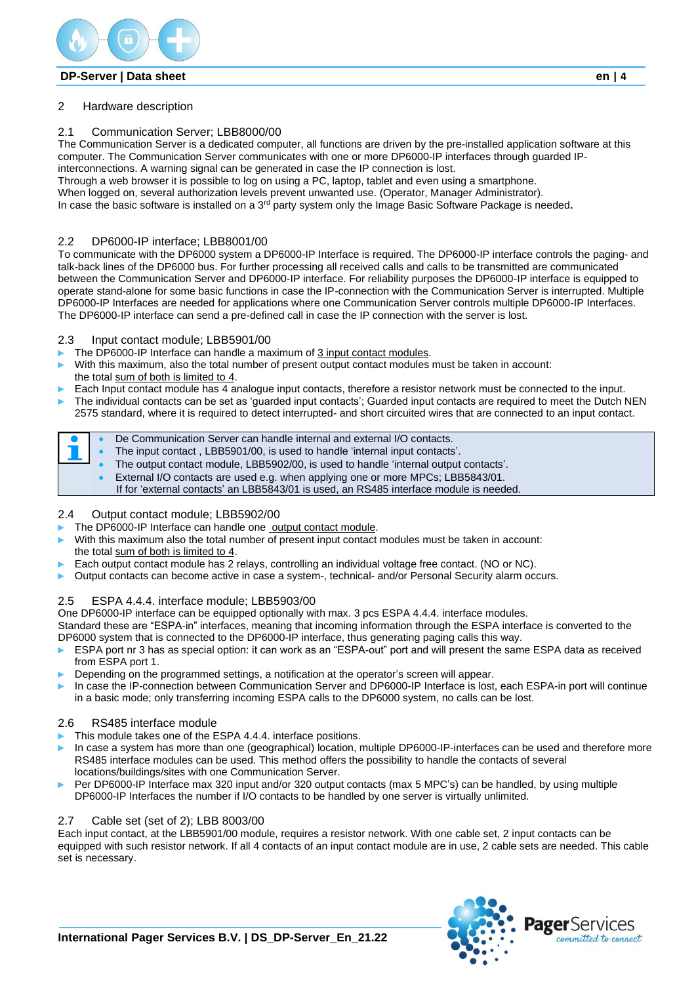

# <span id="page-3-0"></span>2 Hardware description

# <span id="page-3-1"></span>2.1 Communication Server; LBB8000/00

The Communication Server is a dedicated computer, all functions are driven by the pre-installed application software at this computer. The Communication Server communicates with one or more DP6000-IP interfaces through guarded IP-

interconnections. A warning signal can be generated in case the IP connection is lost.

Through a web browser it is possible to log on using a PC, laptop, tablet and even using a smartphone.

When logged on, several authorization levels prevent unwanted use. (Operator, Manager Administrator).

In case the basic software is installed on a 3rd party system only the Image Basic Software Package is needed**.**

# <span id="page-3-2"></span>2.2 DP6000-IP interface; LBB8001/00

To communicate with the DP6000 system a DP6000-IP Interface is required. The DP6000-IP interface controls the paging- and talk-back lines of the DP6000 bus. For further processing all received calls and calls to be transmitted are communicated between the Communication Server and DP6000-IP interface. For reliability purposes the DP6000-IP interface is equipped to operate stand-alone for some basic functions in case the IP-connection with the Communication Server is interrupted. Multiple DP6000-IP Interfaces are needed for applications where one Communication Server controls multiple DP6000-IP Interfaces. The DP6000-IP interface can send a pre-defined call in case the IP connection with the server is lost.

#### <span id="page-3-3"></span>2.3 Input contact module; LBB5901/00

- The DP6000-IP Interface can handle a maximum of 3 input contact modules.
- With this maximum, also the total number of present output contact modules must be taken in account: the total sum of both is limited to 4.
- Each Input contact module has 4 analogue input contacts, therefore a resistor network must be connected to the input.
- The individual contacts can be set as 'guarded input contacts'; Guarded input contacts are required to meet the Dutch NEN

2575 standard, where it is required to detect interrupted- and short circuited wires that are connected to an input contact.

|  | De Communication Server can handle internal and external I/O contacts.               |
|--|--------------------------------------------------------------------------------------|
|  | The input contact, LBB5901/00, is used to handle 'internal input contacts'.          |
|  | The output contact module, LBB5902/00, is used to handle 'internal output contacts'. |
|  | External I/O contacts are used e.g. when applying one or more MPCs; LBB5843/01.      |

If for 'external contacts' an LBB5843/01 is used, an RS485 interface module is needed.

# <span id="page-3-4"></span>2.4 Output contact module; LBB5902/00

- The DP6000-IP Interface can handle one output contact module.
- With this maximum also the total number of present input contact modules must be taken in account: the total sum of both is limited to 4.
- Each output contact module has 2 relays, controlling an individual voltage free contact. (NO or NC).
- Output contacts can become active in case a system-, technical- and/or Personal Security alarm occurs.

# <span id="page-3-5"></span>2.5 ESPA 4.4.4. interface module; LBB5903/00

One DP6000-IP interface can be equipped optionally with max. 3 pcs ESPA 4.4.4. interface modules.

Standard these are "ESPA-in" interfaces, meaning that incoming information through the ESPA interface is converted to the DP6000 system that is connected to the DP6000-IP interface, thus generating paging calls this way.

- ESPA port nr 3 has as special option: it can work as an "ESPA-out" port and will present the same ESPA data as received from ESPA port 1.
- Depending on the programmed settings, a notification at the operator's screen will appear.
- ► In case the IP-connection between Communication Server and DP6000-IP Interface is lost, each ESPA-in port will continue in a basic mode; only transferring incoming ESPA calls to the DP6000 system, no calls can be lost.

# <span id="page-3-6"></span>2.6 RS485 interface module

- This module takes one of the ESPA 4.4.4. interface positions.
- In case a system has more than one (geographical) location, multiple DP6000-IP-interfaces can be used and therefore more RS485 interface modules can be used. This method offers the possibility to handle the contacts of several locations/buildings/sites with one Communication Server.
- Per DP6000-IP Interface max 320 input and/or 320 output contacts (max 5 MPC's) can be handled, by using multiple DP6000-IP Interfaces the number if I/O contacts to be handled by one server is virtually unlimited.

# <span id="page-3-7"></span>2.7 Cable set (set of 2); LBB 8003/00

Each input contact, at the LBB5901/00 module, requires a resistor network. With one cable set, 2 input contacts can be equipped with such resistor network. If all 4 contacts of an input contact module are in use, 2 cable sets are needed. This cable set is necessary.

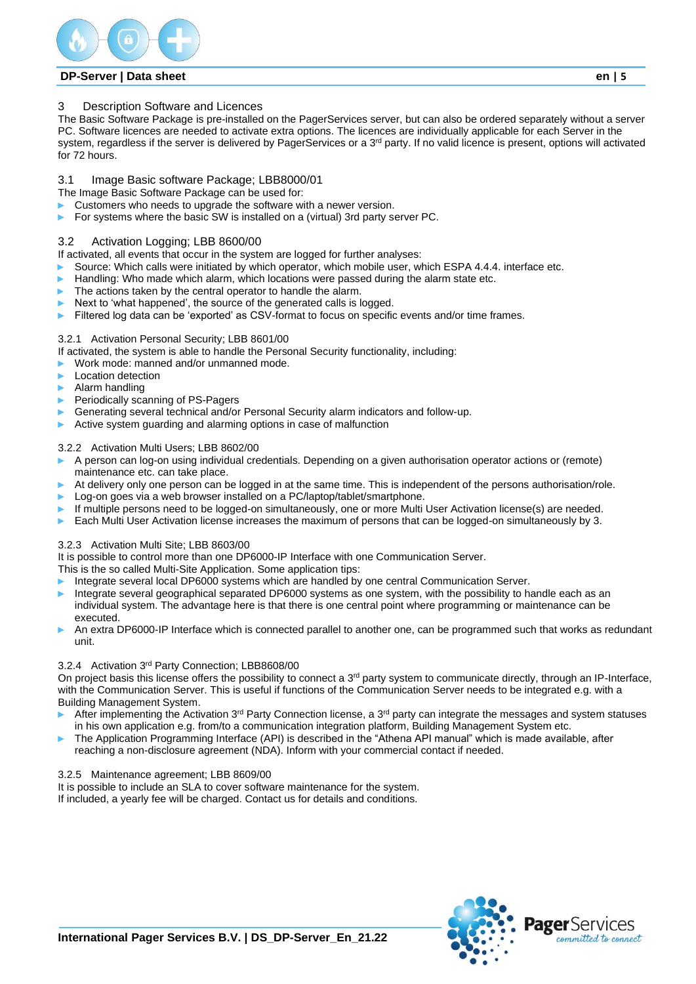

#### <span id="page-4-0"></span>3 Description Software and Licences

The Basic Software Package is pre-installed on the PagerServices server, but can also be ordered separately without a server PC. Software licences are needed to activate extra options. The licences are individually applicable for each Server in the system, regardless if the server is delivered by PagerServices or a  $3<sup>rd</sup>$  party. If no valid licence is present, options will activated for 72 hours.

# <span id="page-4-1"></span>3.1 Image Basic software Package; LBB8000/01

The Image Basic Software Package can be used for:

- Customers who needs to upgrade the software with a newer version.
- For systems where the basic SW is installed on a (virtual) 3rd party server PC.

#### <span id="page-4-2"></span>3.2 Activation Logging; LBB 8600/00

If activated, all events that occur in the system are logged for further analyses:

- Source: Which calls were initiated by which operator, which mobile user, which ESPA 4.4.4. interface etc.
- Handling: Who made which alarm, which locations were passed during the alarm state etc.
- The actions taken by the central operator to handle the alarm.
- Next to 'what happened', the source of the generated calls is logged.
- Filtered log data can be 'exported' as CSV-format to focus on specific events and/or time frames.

#### <span id="page-4-3"></span>3.2.1 Activation Personal Security; LBB 8601/00

If activated, the system is able to handle the Personal Security functionality, including:

- ► Work mode: manned and/or unmanned mode.
- Location detection
- ► Alarm handling
- Periodically scanning of PS-Pagers
- Generating several technical and/or Personal Security alarm indicators and follow-up.
- Active system guarding and alarming options in case of malfunction

#### <span id="page-4-4"></span>3.2.2 Activation Multi Users; LBB 8602/00

- ► A person can log-on using individual credentials. Depending on a given authorisation operator actions or (remote) maintenance etc. can take place.
- At delivery only one person can be logged in at the same time. This is independent of the persons authorisation/role.
- Log-on goes via a web browser installed on a PC/laptop/tablet/smartphone.
- If multiple persons need to be logged-on simultaneously, one or more Multi User Activation license(s) are needed.
- Each Multi User Activation license increases the maximum of persons that can be logged-on simultaneously by 3.

#### <span id="page-4-5"></span>3.2.3 Activation Multi Site; LBB 8603/00

It is possible to control more than one DP6000-IP Interface with one Communication Server.

This is the so called Multi-Site Application. Some application tips:

- Integrate several local DP6000 systems which are handled by one central Communication Server.
- Integrate several geographical separated DP6000 systems as one system, with the possibility to handle each as an individual system. The advantage here is that there is one central point where programming or maintenance can be executed.
- An extra DP6000-IP Interface which is connected parallel to another one, can be programmed such that works as redundant unit.

#### <span id="page-4-6"></span>3.2.4 Activation 3rd Party Connection; LBB8608/00

On project basis this license offers the possibility to connect a  $3<sup>rd</sup>$  party system to communicate directly, through an IP-Interface, with the Communication Server. This is useful if functions of the Communication Server needs to be integrated e.g. with a Building Management System.

- After implementing the Activation  $3^{rd}$  Party Connection license, a  $3^{rd}$  party can integrate the messages and system statuses in his own application e.g. from/to a communication integration platform, Building Management System etc.
- The Application Programming Interface (API) is described in the "Athena API manual" which is made available, after reaching a non-disclosure agreement (NDA). Inform with your commercial contact if needed.

#### <span id="page-4-7"></span>3.2.5 Maintenance agreement; LBB 8609/00

It is possible to include an SLA to cover software maintenance for the system. If included, a yearly fee will be charged. Contact us for details and conditions.

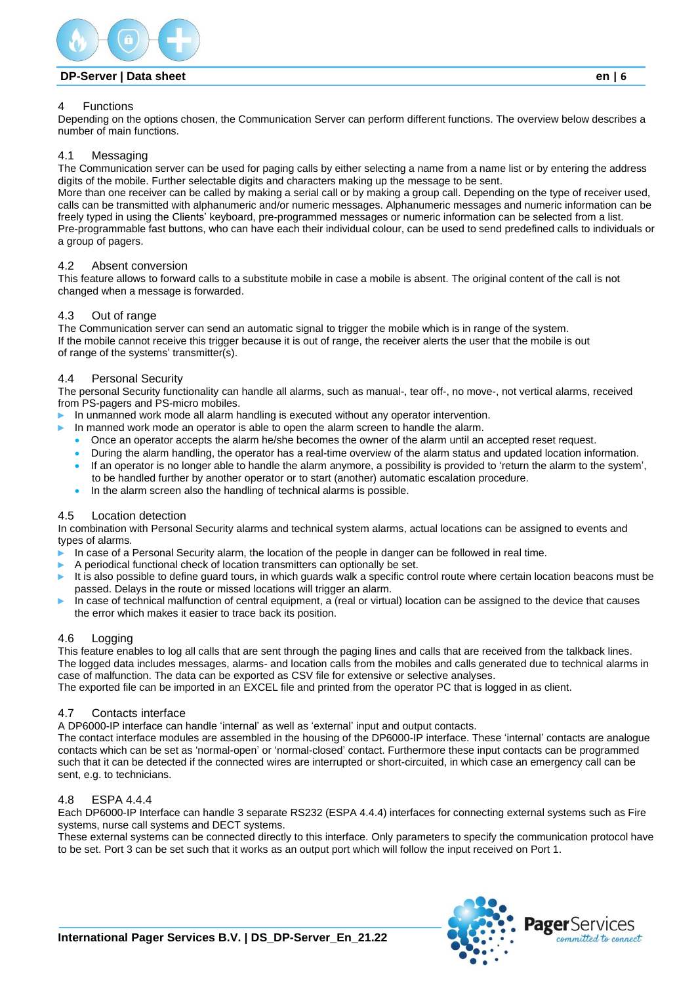

#### <span id="page-5-0"></span>4 Functions

Depending on the options chosen, the Communication Server can perform different functions. The overview below describes a number of main functions.

#### <span id="page-5-1"></span>4.1 Messaging

The Communication server can be used for paging calls by either selecting a name from a name list or by entering the address digits of the mobile. Further selectable digits and characters making up the message to be sent.

More than one receiver can be called by making a serial call or by making a group call. Depending on the type of receiver used, calls can be transmitted with alphanumeric and/or numeric messages. Alphanumeric messages and numeric information can be freely typed in using the Clients' keyboard, pre-programmed messages or numeric information can be selected from a list. Pre-programmable fast buttons, who can have each their individual colour, can be used to send predefined calls to individuals or a group of pagers.

#### <span id="page-5-2"></span>4.2 Absent conversion

This feature allows to forward calls to a substitute mobile in case a mobile is absent. The original content of the call is not changed when a message is forwarded.

#### <span id="page-5-3"></span>4.3 Out of range

The Communication server can send an automatic signal to trigger the mobile which is in range of the system. If the mobile cannot receive this trigger because it is out of range, the receiver alerts the user that the mobile is out of range of the systems' transmitter(s).

#### <span id="page-5-4"></span>4.4 Personal Security

The personal Security functionality can handle all alarms, such as manual-, tear off-, no move-, not vertical alarms, received from PS-pagers and PS-micro mobiles.

In unmanned work mode all alarm handling is executed without any operator intervention.

- In manned work mode an operator is able to open the alarm screen to handle the alarm.
- Once an operator accepts the alarm he/she becomes the owner of the alarm until an accepted reset request.
- During the alarm handling, the operator has a real-time overview of the alarm status and updated location information.
- If an operator is no longer able to handle the alarm anymore, a possibility is provided to 'return the alarm to the system', to be handled further by another operator or to start (another) automatic escalation procedure.
- In the alarm screen also the handling of technical alarms is possible.

#### <span id="page-5-5"></span>4.5 Location detection

In combination with Personal Security alarms and technical system alarms, actual locations can be assigned to events and types of alarms.

- In case of a Personal Security alarm, the location of the people in danger can be followed in real time.
- A periodical functional check of location transmitters can optionally be set.
- It is also possible to define guard tours, in which guards walk a specific control route where certain location beacons must be passed. Delays in the route or missed locations will trigger an alarm.
- In case of technical malfunction of central equipment, a (real or virtual) location can be assigned to the device that causes the error which makes it easier to trace back its position.

#### <span id="page-5-6"></span>4.6 Logging

This feature enables to log all calls that are sent through the paging lines and calls that are received from the talkback lines. The logged data includes messages, alarms- and location calls from the mobiles and calls generated due to technical alarms in case of malfunction. The data can be exported as CSV file for extensive or selective analyses.

The exported file can be imported in an EXCEL file and printed from the operator PC that is logged in as client.

#### <span id="page-5-7"></span>4.7 Contacts interface

A DP6000-IP interface can handle 'internal' as well as 'external' input and output contacts.

The contact interface modules are assembled in the housing of the DP6000-IP interface. These 'internal' contacts are analogue contacts which can be set as 'normal-open' or 'normal-closed' contact. Furthermore these input contacts can be programmed such that it can be detected if the connected wires are interrupted or short-circuited, in which case an emergency call can be sent, e.g. to technicians.

#### <span id="page-5-8"></span>4.8 ESPA 4.4.4

Each DP6000-IP Interface can handle 3 separate RS232 (ESPA 4.4.4) interfaces for connecting external systems such as Fire systems, nurse call systems and DECT systems.

These external systems can be connected directly to this interface. Only parameters to specify the communication protocol have to be set. Port 3 can be set such that it works as an output port which will follow the input received on Port 1.

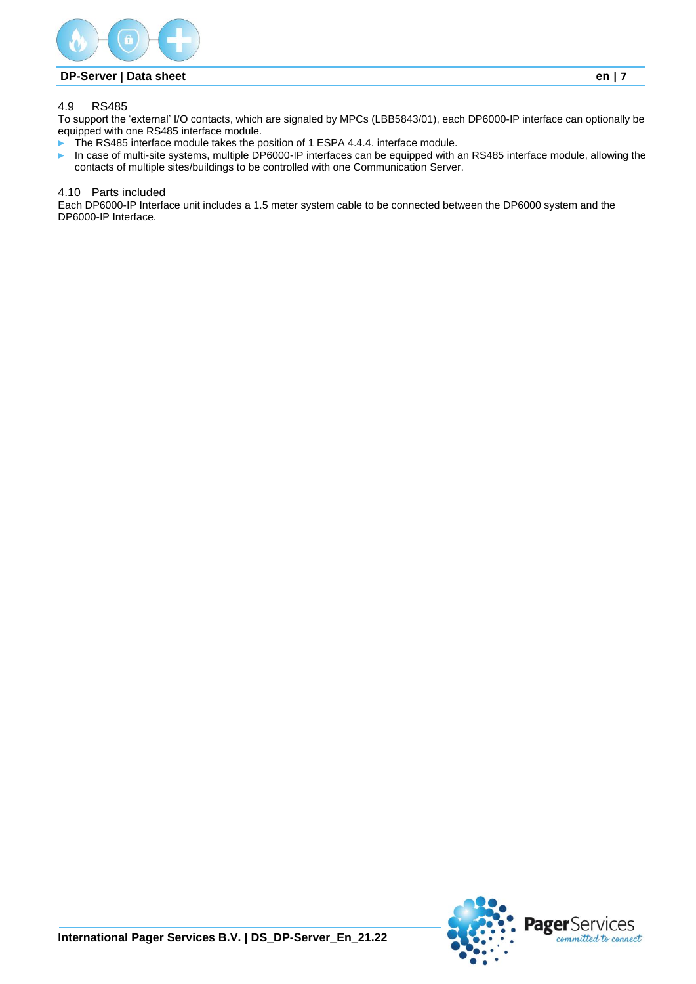

# <span id="page-6-0"></span>4.9 RS485

To support the 'external' I/O contacts, which are signaled by MPCs (LBB5843/01), each DP6000-IP interface can optionally be equipped with one RS485 interface module.

- The RS485 interface module takes the position of 1 ESPA 4.4.4. interface module.
- ► In case of multi-site systems, multiple DP6000-IP interfaces can be equipped with an RS485 interface module, allowing the contacts of multiple sites/buildings to be controlled with one Communication Server.

#### <span id="page-6-1"></span>4.10 Parts included

Each DP6000-IP Interface unit includes a 1.5 meter system cable to be connected between the DP6000 system and the DP6000-IP Interface.

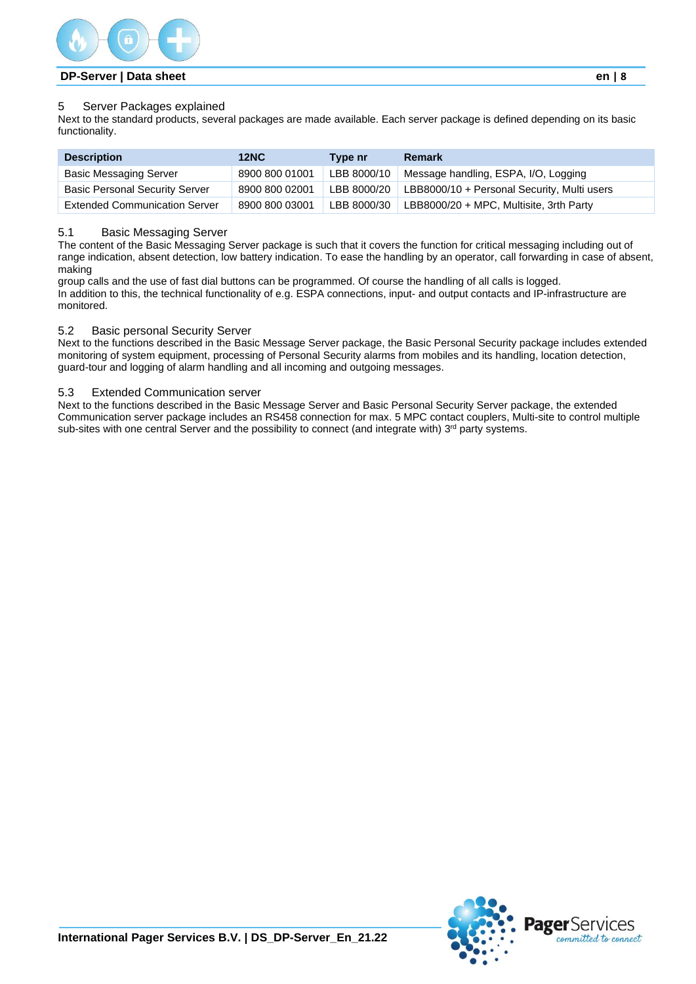

#### <span id="page-7-0"></span>5 Server Packages explained

Next to the standard products, several packages are made available. Each server package is defined depending on its basic functionality.

| <b>Description</b>                    | 12NC           | Type nr     | <b>Remark</b>                               |
|---------------------------------------|----------------|-------------|---------------------------------------------|
| <b>Basic Messaging Server</b>         | 8900 800 01001 | LBB 8000/10 | Message handling, ESPA, I/O, Logging        |
| <b>Basic Personal Security Server</b> | 8900 800 02001 | LBB 8000/20 | LBB8000/10 + Personal Security, Multi users |
| <b>Extended Communication Server</b>  | 8900 800 03001 | LBB 8000/30 | LBB8000/20 + MPC, Multisite, 3rth Party     |

#### <span id="page-7-1"></span>5.1 Basic Messaging Server

The content of the Basic Messaging Server package is such that it covers the function for critical messaging including out of range indication, absent detection, low battery indication. To ease the handling by an operator, call forwarding in case of absent, making

group calls and the use of fast dial buttons can be programmed. Of course the handling of all calls is logged. In addition to this, the technical functionality of e.g. ESPA connections, input- and output contacts and IP-infrastructure are monitored.

#### <span id="page-7-2"></span>5.2 Basic personal Security Server

Next to the functions described in the Basic Message Server package, the Basic Personal Security package includes extended monitoring of system equipment, processing of Personal Security alarms from mobiles and its handling, location detection, guard-tour and logging of alarm handling and all incoming and outgoing messages.

#### <span id="page-7-3"></span>5.3 Extended Communication server

Next to the functions described in the Basic Message Server and Basic Personal Security Server package, the extended Communication server package includes an RS458 connection for max. 5 MPC contact couplers, Multi-site to control multiple sub-sites with one central Server and the possibility to connect (and integrate with)  $3<sup>rd</sup>$  party systems.



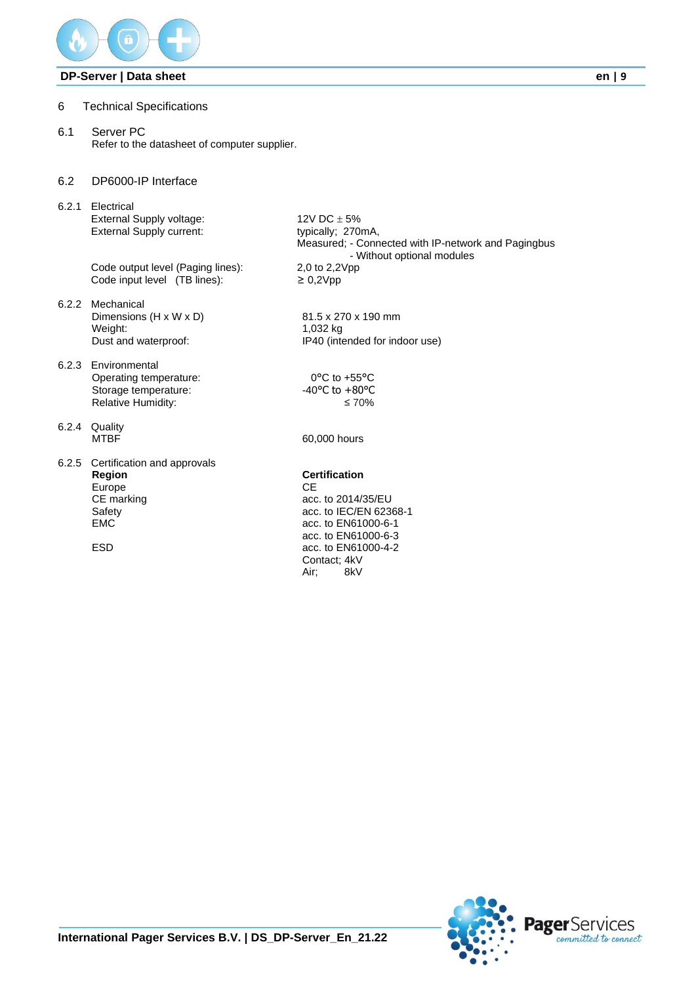

- <span id="page-8-0"></span>6 Technical Specifications
- <span id="page-8-1"></span>6.1 Server PC Refer to the datasheet of computer supplier.
- <span id="page-8-2"></span>6.2 DP6000-IP Interface
- <span id="page-8-3"></span>6.2.1 Electrical External Supply voltage:  $12V$  DC  $\pm$  5% External Supply current: typically; 270mA,

Code output level (Paging lines): Code input level  $(TB$  lines):  $\geq 0,2$ Vpp

- <span id="page-8-4"></span>6.2.2 Mechanical Dimensions (H x W x D) 81.5 x 270 x 190 mm<br>Weight: 1.032 kg Weight: 1,032 kg<br>Dust and waterproof: 1940 (interval)
- <span id="page-8-5"></span>6.2.3 Environmental Operating temperature: 0°C to +55°C<br>Storage temperature: 40°C to +80°C Storage temperature: Relative Humidity: ≤70%
- <span id="page-8-6"></span>6.2.4 Quality
- <span id="page-8-7"></span>6.2.5 Certification and approvals **Region**<br> **CE**<br> **CE**<br> **CE** Europe<br>CE marking CE marking acc. to 2014/35/EU<br>Safety acc. to IEC/EN 623 EMC acc. to EN61000-6-1

Measured; - Connected with IP-network and Pagingbus - Without optional modules<br>2,0 to 2,2Vpp

IP40 (intended for indoor use)

60,000 hours

acc. to IEC/EN 62368-1 acc. to EN61000-6-3 ESD acc. to EN61000-4-2 Contact; 4kV<br>Air: 8kV 8kV